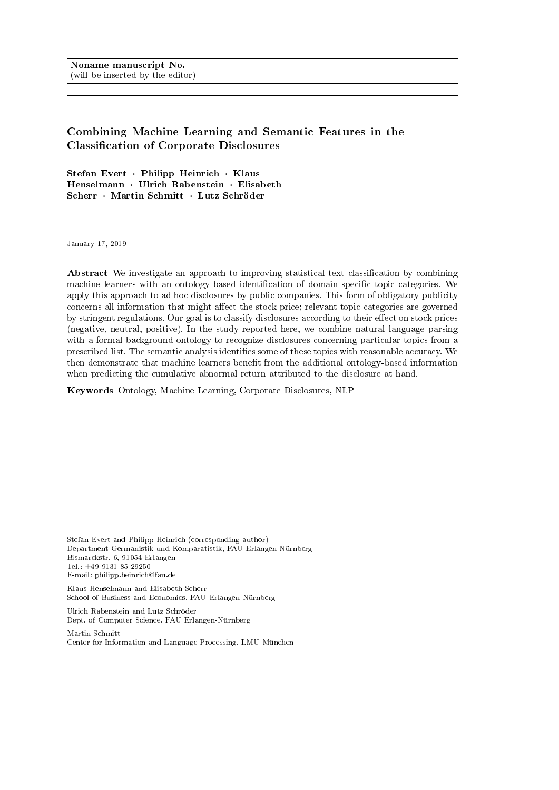Noname manuscript No. (will be inserted by the editor)

# Combining Machine Learning and Semantic Features in the Classification of Corporate Disclosures

Stefan Evert · Philipp Heinrich · Klaus Henselmann · Ulrich Rabenstein · Elisabeth Scherr · Martin Schmitt · Lutz Schröder

January 17, 2019

Abstract We investigate an approach to improving statistical text classification by combining machine learners with an ontology-based identification of domain-specific topic categories. We apply this approach to ad hoc disclosures by public companies. This form of obligatory publicity concerns all information that might affect the stock price; relevant topic categories are governed by stringent regulations. Our goal is to classify disclosures according to their effect on stock prices (negative, neutral, positive). In the study reported here, we combine natural language parsing with a formal background ontology to recognize disclosures concerning particular topics from a prescribed list. The semantic analysis identifies some of these topics with reasonable accuracy. We then demonstrate that machine learners benefit from the additional ontology-based information when predicting the cumulative abnormal return attributed to the disclosure at hand.

Keywords Ontology, Machine Learning, Corporate Disclosures, NLP

Ulrich Rabenstein and Lutz Schröder Dept. of Computer Science, FAU Erlangen-Nürnberg

Stefan Evert and Philipp Heinrich (corresponding author) Department Germanistik und Komparatistik, FAU Erlangen-Nürnberg Bismarckstr. 6, 91054 Erlangen Tel.: +49 9131 85 29250 E-mail: philipp.heinrich@fau.de

Klaus Henselmann and Elisabeth Scherr School of Business and Economics, FAU Erlangen-Nürnberg

Martin Schmitt Center for Information and Language Processing, LMU München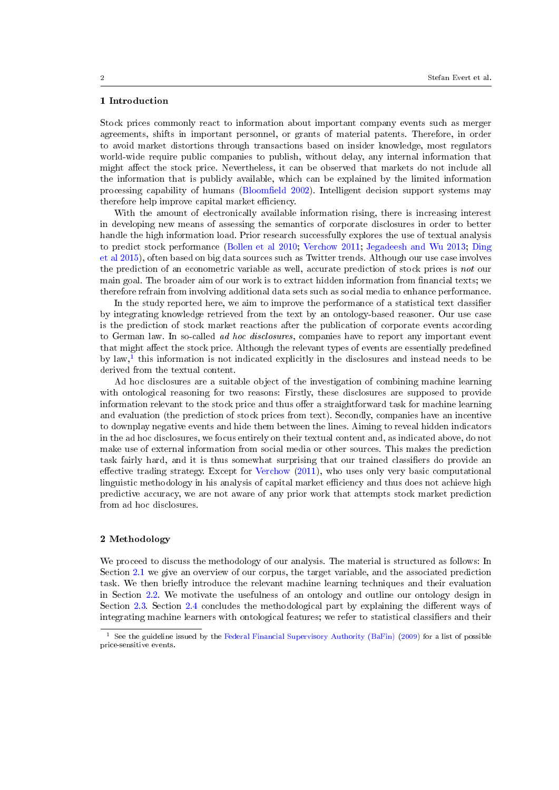# 1 Introduction

Stock prices commonly react to information about important company events such as merger agreements, shifts in important personnel, or grants of material patents. Therefore, in order to avoid market distortions through transactions based on insider knowledge, most regulators world-wide require public companies to publish, without delay, any internal information that might affect the stock price. Nevertheless, it can be observed that markets do not include all the information that is publicly available, which can be explained by the limited information processing capability of humans (Bloomfield [2002\)](#page-16-0). Intelligent decision support systems may therefore help improve capital market efficiency.

With the amount of electronically available information rising, there is increasing interest in developing new means of assessing the semantics of corporate disclosures in order to better handle the high information load. Prior research successfully explores the use of textual analysis to predict stock performance [\(Bollen et al](#page-16-1) [2010;](#page-16-1) [Verchow](#page-17-0) [2011;](#page-17-0) [Jegadeesh and Wu](#page-17-1) [2013;](#page-17-1) [Ding](#page-16-2) [et al](#page-16-2) [2015\)](#page-16-2), often based on big data sources such as Twitter trends. Although our use case involves the prediction of an econometric variable as well, accurate prediction of stock prices is not our main goal. The broader aim of our work is to extract hidden information from financial texts; we therefore refrain from involving additional data sets such as social media to enhance performance.

In the study reported here, we aim to improve the performance of a statistical text classifier by integrating knowledge retrieved from the text by an ontology-based reasoner. Our use case is the prediction of stock market reactions after the publication of corporate events according to German law. In so-called *ad hoc disclosures*, companies have to report any important event that might affect the stock price. Although the relevant types of events are essentially predefined by law,<sup>[1](#page-1-0)</sup> this information is not indicated explicitly in the disclosures and instead needs to be derived from the textual content.

Ad hoc disclosures are a suitable object of the investigation of combining machine learning with ontological reasoning for two reasons: Firstly, these disclosures are supposed to provide information relevant to the stock price and thus offer a straightforward task for machine learning and evaluation (the prediction of stock prices from text). Secondly, companies have an incentive to downplay negative events and hide them between the lines. Aiming to reveal hidden indicators in the ad hoc disclosures, we focus entirely on their textual content and, as indicated above, do not make use of external information from social media or other sources. This makes the prediction task fairly hard, and it is thus somewhat surprising that our trained classifiers do provide an effective trading strategy. Except for [Verchow](#page-17-0)  $(2011)$ , who uses only very basic computational linguistic methodology in his analysis of capital market efficiency and thus does not achieve high predictive accuracy, we are not aware of any prior work that attempts stock market prediction from ad hoc disclosures.

# 2 Methodology

We proceed to discuss the methodology of our analysis. The material is structured as follows: In Section [2.1](#page-2-0) we give an overview of our corpus, the target variable, and the associated prediction task. We then briefly introduce the relevant machine learning techniques and their evaluation in Section [2.2.](#page-3-0) We motivate the usefulness of an ontology and outline our ontology design in Section [2.3.](#page-5-0) Section [2.4](#page-12-0) concludes the methodological part by explaining the different ways of integrating machine learners with ontological features; we refer to statistical classifiers and their

<span id="page-1-0"></span><sup>&</sup>lt;sup>1</sup> See the guideline issued by the [Federal Financial Supervisory Authority \(BaFin\)](#page-17-2) [\(2009\)](#page-17-2) for a list of possible price-sensitive events.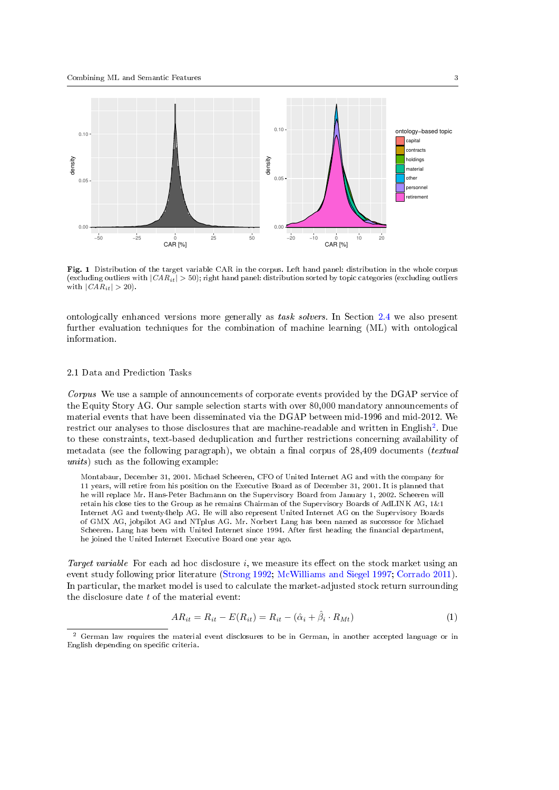

<span id="page-2-3"></span>Fig. 1 Distribution of the target variable CAR in the corpus. Left hand panel: distribution in the whole corpus (excluding outliers with  $|CAR_{it}| > 50$ ); right hand panel: distribution sorted by topic categories (excluding outliers with  $|CAR_{it}| > 20$ .

ontologically enhanced versions more generally as task solvers. In Section [2.4](#page-12-0) we also present further evaluation techniques for the combination of machine learning (ML) with ontological information.

#### <span id="page-2-0"></span>2.1 Data and Prediction Tasks

<span id="page-2-4"></span>Corpus We use a sample of announcements of corporate events provided by the DGAP service of the Equity Story AG. Our sample selection starts with over 80,000 mandatory announcements of material events that have been disseminated via the DGAP between mid-1996 and mid-2012. We restrict our analyses to those disclosures that are machine-readable and written in English<sup>[2](#page-2-1)</sup>. Due to these constraints, text-based deduplication and further restrictions concerning availability of metadata (see the following paragraph), we obtain a final corpus of  $28,409$  documents (*textual* units) such as the following example:

Montabaur, December 31, 2001. Michael Scheeren, CFO of United Internet AG and with the company for 11 years, will retire from his position on the Executive Board as of December 31, 2001. It is planned that he will replace Mr. Hans-Peter Bachmann on the Supervisory Board from January 1, 2002. Scheeren will retain his close ties to the Group as he remains Chairman of the Supervisory Boards of AdLINK AG, 1&1 Internet AG and twenty4help AG. He will also represent United Internet AG on the Supervisory Boards of GMX AG, jobpilot AG and NTplus AG. Mr. Norbert Lang has been named as successor for Michael Scheeren. Lang has been with United Internet since 1994. After first heading the financial department, he joined the United Internet Executive Board one year ago.

Target variable For each ad hoc disclosure  $i$ , we measure its effect on the stock market using an event study following prior literature [\(Strong](#page-17-3) [1992;](#page-17-3) [McWilliams and Siegel](#page-17-4) [1997;](#page-17-4) [Corrado](#page-16-3) [2011\)](#page-16-3). In particular, the market model is used to calculate the market-adjusted stock return surrounding the disclosure date  $t$  of the material event:

<span id="page-2-2"></span>
$$
AR_{it} = R_{it} - E(R_{it}) = R_{it} - (\hat{\alpha}_i + \hat{\beta}_i \cdot R_{Mt})
$$
\n(1)

<span id="page-2-1"></span><sup>2</sup> German law requires the material event disclosures to be in German, in another accepted language or in English depending on specific criteria.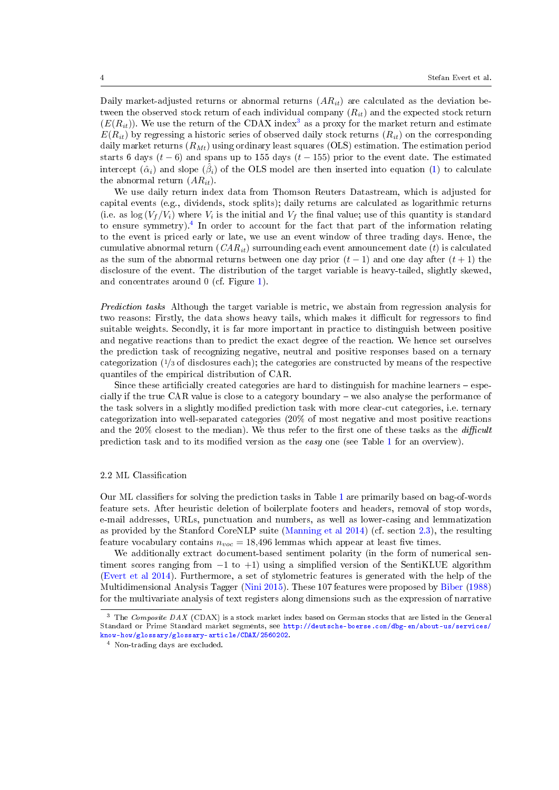Daily market-adjusted returns or abnormal returns  $(AR_{it})$  are calculated as the deviation between the observed stock return of each individual company  $(R_{it})$  and the expected stock return  $(E(R_{it}))$ . We use the return of the CDAX index<sup>[3](#page-3-1)</sup> as a proxy for the market return and estimate  $E(R_{it})$  by regressing a historic series of observed daily stock returns  $(R_{it})$  on the corresponding daily market returns  $(R_{Mt})$  using ordinary least squares (OLS) estimation. The estimation period starts 6 days  $(t-6)$  and spans up to 155 days  $(t-155)$  prior to the event date. The estimated intercept  $(\hat{\alpha}_i)$  and slope  $(\hat{\beta}_i)$  of the OLS model are then inserted into equation [\(1\)](#page-2-2) to calculate the abnormal return  $(AR_{it})$ .

We use daily return index data from Thomson Reuters Datastream, which is adjusted for capital events (e.g., dividends, stock splits); daily returns are calculated as logarithmic returns (i.e. as  $\log(V_f/V_i)$  where  $V_i$  is the initial and  $V_f$  the final value; use of this quantity is standard to ensure symmetry).[4](#page-3-2) In order to account for the fact that part of the information relating to the event is priced early or late, we use an event window of three trading days. Hence, the cumulative abnormal return  $(CAR_{it})$  surrounding each event announcement date (t) is calculated as the sum of the abnormal returns between one day prior  $(t-1)$  and one day after  $(t+1)$  the disclosure of the event. The distribution of the target variable is heavy-tailed, slightly skewed, and concentrates around 0 (cf. Figure [1\)](#page-2-3).

Prediction tasks Although the target variable is metric, we abstain from regression analysis for two reasons: Firstly, the data shows heavy tails, which makes it difficult for regressors to find suitable weights. Secondly, it is far more important in practice to distinguish between positive and negative reactions than to predict the exact degree of the reaction. We hence set ourselves the prediction task of recognizing negative, neutral and positive responses based on a ternary categorization (1/<sup>3</sup> of disclosures each); the categories are constructed by means of the respective quantiles of the empirical distribution of CAR.

Since these artificially created categories are hard to distinguish for machine learners  $-$  especially if the true CAR value is close to a category boundary  $-$  we also analyse the performance of the task solvers in a slightly modified prediction task with more clear-cut categories, i.e. ternary categorization into well-separated categories (20% of most negative and most positive reactions and the  $20\%$  closest to the median). We thus refer to the first one of these tasks as the *difficult* prediction task and to its modified version as the easy one (see Table [1](#page-4-0) for an overview).

# <span id="page-3-0"></span>2.2 ML Classification

Our ML classifiers for solving the prediction tasks in Table [1](#page-4-0) are primarily based on bag-of-words feature sets. After heuristic deletion of boilerplate footers and headers, removal of stop words, e-mail addresses, URLs, punctuation and numbers, as well as lower-casing and lemmatization as provided by the Stanford CoreNLP suite [\(Manning et al](#page-17-5) [2014\)](#page-17-5) (cf. section [2.3\)](#page-5-0), the resulting feature vocabulary contains  $n_{voc} = 18,496$  lemmas which appear at least five times.

We additionally extract document-based sentiment polarity (in the form of numerical sentiment scores ranging from  $-1$  to  $+1$ ) using a simplified version of the SentiKLUE algorithm [\(Evert et al](#page-16-4) [2014\)](#page-16-4). Furthermore, a set of stylometric features is generated with the help of the Multidimensional Analysis Tagger [\(Nini](#page-17-6) [2015\)](#page-17-6). These 107 features were proposed by [Biber](#page-16-5) [\(1988\)](#page-16-5) for the multivariate analysis of text registers along dimensions such as the expression of narrative

<span id="page-3-1"></span><sup>&</sup>lt;sup>3</sup> The Composite DAX (CDAX) is a stock market index based on German stocks that are listed in the General Standard or Prime Standard market segments, see [http://deutsche-boerse.com/dbg-en/about-us/services/](http://deutsche-boerse.com/dbg-en/about-us/services/know-how/glossary/glossary-article/CDAX/2560202) [know-how/glossary/glossary-article/CDAX/2560202.](http://deutsche-boerse.com/dbg-en/about-us/services/know-how/glossary/glossary-article/CDAX/2560202)

<span id="page-3-2"></span><sup>4</sup> Non-trading days are excluded.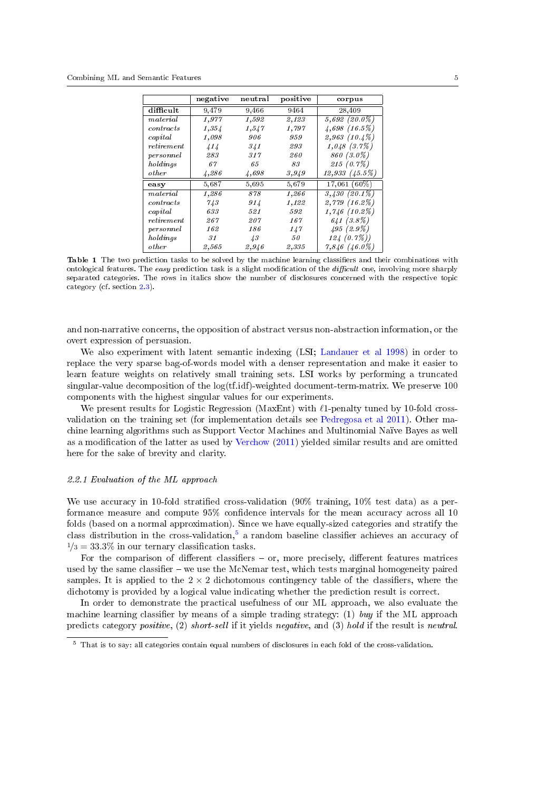|              | negative | neutral    | positive | corpus             |
|--------------|----------|------------|----------|--------------------|
| difficult    | 9,479    | 9,466      | 9464     | 28,409             |
| material     | 1,977    | 1,592      | 2,123    | $5,692(20.0\%)$    |
| contents     | 1,354    | 1,547      | 1,797    | 4,698(16.5%)       |
| capital      | 1,098    | 906        | 959      | 2,963(10.4%)       |
| reti rement  | 414      | 341        | 293      | 1,048(3.7%)        |
| personnel    | 283      | 317        | 260      | 860 (3.0%)         |
| holdings     | 67       | 65         | 83       | $215(0.7\%)$       |
| <i>other</i> | 4,286    | 4,698      | 3,949    | $12,933$ $(45.5%)$ |
| easy         | 5,687    | 5,695      | 5,679    | 17,061 (60%)       |
| material     | 1,286    | 878        | 1,266    | $3,430(20.1\%)$    |
| contents     | 7/3      | 914        | 1,122    | $2,779$ $(16.2\%)$ |
| capital      | 633      | 521        | 592      | $1,746(10.2\%)$    |
| reti rement  | 267      | 207        | 167      | 641(3.8%)          |
| personnel    | 162      | 186        | 147      | 495(2.9%)          |
| holdings     | 31       | $\sqrt{3}$ | 50       | 124(0.7%)          |
| <i>other</i> | 2,565    | 2,946      | 2,335    | $7,846~(46.0\%)$   |

<span id="page-4-0"></span>Table 1 The two prediction tasks to be solved by the machine learning classifiers and their combinations with ontological features. The easy prediction task is a slight modification of the difficult one, involving more sharply separated categories. The rows in italics show the number of disclosures concerned with the respective topic category (cf. section [2.3\)](#page-5-0).

and non-narrative concerns, the opposition of abstract versus non-abstraction information, or the overt expression of persuasion.

We also experiment with latent semantic indexing (LSI; [Landauer et al](#page-17-7) [1998\)](#page-17-7) in order to replace the very sparse bag-of-words model with a denser representation and make it easier to learn feature weights on relatively small training sets. LSI works by performing a truncated singular-value decomposition of the log(tf.idf)-weighted document-term-matrix. We preserve 100 components with the highest singular values for our experiments.

We present results for Logistic Regression (MaxEnt) with  $\ell$ 1-penalty tuned by 10-fold crossvalidation on the training set (for implementation details see [Pedregosa et al](#page-17-8) [2011\)](#page-17-8). Other machine learning algorithms such as Support Vector Machines and Multinomial Naïve Bayes as well as a modification of the latter as used by [Verchow](#page-17-0) [\(2011\)](#page-17-0) yielded similar results and are omitted here for the sake of brevity and clarity.

#### 2.2.1 Evaluation of the ML approach

We use accuracy in 10-fold stratified cross-validation  $(90\% \text{ training}, 10\% \text{ test data})$  as a performance measure and compute 95% confidence intervals for the mean accuracy across all 10 folds (based on a normal approximation). Since we have equally-sized categories and stratify the class distribution in the cross-validation,<sup>[5](#page-4-1)</sup> a random baseline classifier achieves an accuracy of  $1/3 = 33.3\%$  in our ternary classification tasks.

For the comparison of different classifiers  $-$  or, more precisely, different features matrices used by the same classifier  $-\mathbf{we}$  use the McNemar test, which tests marginal homogeneity paired samples. It is applied to the  $2 \times 2$  dichotomous contingency table of the classifiers, where the dichotomy is provided by a logical value indicating whether the prediction result is correct.

In order to demonstrate the practical usefulness of our ML approach, we also evaluate the machine learning classifier by means of a simple trading strategy: (1) buy if the ML approach predicts category positive, (2) short-sell if it yields negative, and (3) hold if the result is neutral.

<span id="page-4-1"></span><sup>5</sup> That is to say: all categories contain equal numbers of disclosures in each fold of the cross-validation.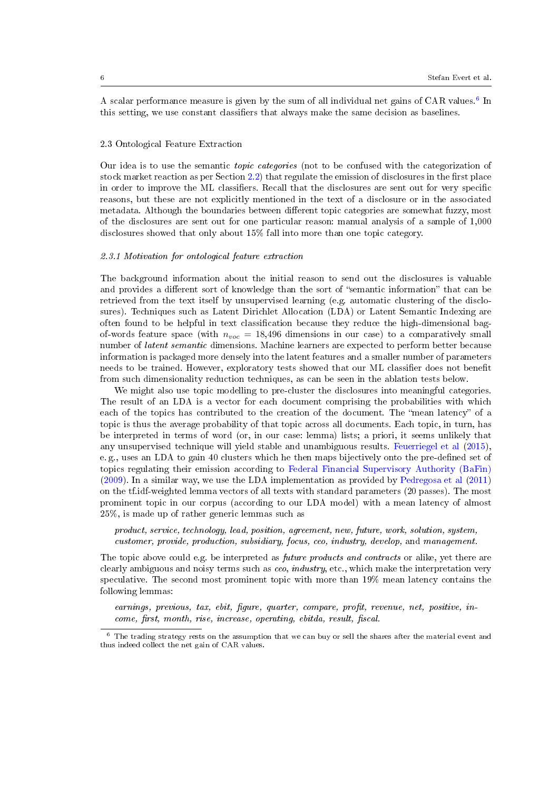A scalar performance measure is given by the sum of all individual net gains of CAR values.<sup>[6](#page-5-1)</sup> In this setting, we use constant classifiers that always make the same decision as baselines.

## <span id="page-5-0"></span>2.3 Ontological Feature Extraction

Our idea is to use the semantic topic categories (not to be confused with the categorization of stock market reaction as per Section  $(2.2)$  $(2.2)$  that regulate the emission of disclosures in the first place in order to improve the ML classifiers. Recall that the disclosures are sent out for very specific reasons, but these are not explicitly mentioned in the text of a disclosure or in the associated metadata. Although the boundaries between different topic categories are somewhat fuzzy, most of the disclosures are sent out for one particular reason: manual analysis of a sample of 1,000 disclosures showed that only about 15% fall into more than one topic category.

## 2.3.1 Motivation for ontological feature extraction

The background information about the initial reason to send out the disclosures is valuable and provides a different sort of knowledge than the sort of "semantic information" that can be retrieved from the text itself by unsupervised learning (e.g. automatic clustering of the disclosures). Techniques such as Latent Dirichlet Allocation (LDA) or Latent Semantic Indexing are often found to be helpful in text classification because they reduce the high-dimensional bagof-words feature space (with  $n_{voc} = 18,496$  dimensions in our case) to a comparatively small number of latent semantic dimensions. Machine learners are expected to perform better because information is packaged more densely into the latent features and a smaller number of parameters needs to be trained. However, exploratory tests showed that our ML classifier does not benefit from such dimensionality reduction techniques, as can be seen in the ablation tests below.

We might also use topic modelling to pre-cluster the disclosures into meaningful categories. The result of an LDA is a vector for each document comprising the probabilities with which each of the topics has contributed to the creation of the document. The "mean latency" of a topic is thus the average probability of that topic across all documents. Each topic, in turn, has be interpreted in terms of word (or, in our case: lemma) lists; a priori, it seems unlikely that any unsupervised technique will yield stable and unambiguous results. [Feuerriegel et al](#page-17-9) [\(2015\)](#page-17-9), e. g., uses an LDA to gain 40 clusters which he then maps bijectively onto the pre-defined set of topics regulating their emission according to [Federal Financial Supervisory Authority \(BaFin\)](#page-17-2) [\(2009\)](#page-17-2). In a similar way, we use the LDA implementation as provided by [Pedregosa et al](#page-17-8) [\(2011\)](#page-17-8) on the tf.idf-weighted lemma vectors of all texts with standard parameters (20 passes). The most prominent topic in our corpus (according to our LDA model) with a mean latency of almost 25%, is made up of rather generic lemmas such as

product, service, technology, lead, position, agreement, new, future, work, solution, system, customer, provide, production, subsidiary, focus, ceo, industry, develop, and management.

The topic above could e.g. be interpreted as *future products and contracts* or alike, yet there are clearly ambiguous and noisy terms such as ceo, industry, etc., which make the interpretation very speculative. The second most prominent topic with more than 19% mean latency contains the following lemmas:

earnings, previous, tax, ebit, figure, quarter, compare, profit, revenue, net, positive, in $come, first, month, rise, increase, operating, ebitda, result, fiscal.$ 

<span id="page-5-1"></span> $6$  The trading strategy rests on the assumption that we can buy or sell the shares after the material event and thus indeed collect the net gain of CAR values.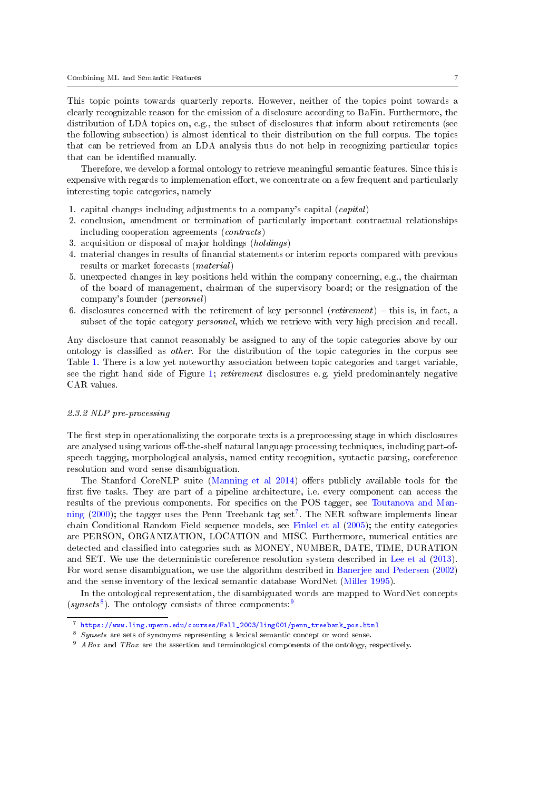This topic points towards quarterly reports. However, neither of the topics point towards a clearly recognizable reason for the emission of a disclosure according to BaFin. Furthermore, the distribution of LDA topics on, e.g., the subset of disclosures that inform about retirements (see the following subsection) is almost identical to their distribution on the full corpus. The topics that can be retrieved from an LDA analysis thus do not help in recognizing particular topics that can be identified manually.

Therefore, we develop a formal ontology to retrieve meaningful semantic features. Since this is expensive with regards to implemenation effort, we concentrate on a few frequent and particularly interesting topic categories, namely

- 1. capital changes including adjustments to a company's capital (capital)
- 2. conclusion, amendment or termination of particularly important contractual relationships including cooperation agreements (contracts)
- 3. acquisition or disposal of major holdings (holdings)
- 4. material changes in results of nancial statements or interim reports compared with previous results or market forecasts (material)
- 5. unexpected changes in key positions held within the company concerning, e.g., the chairman of the board of management, chairman of the supervisory board; or the resignation of the company's founder (personnel)
- 6. disclosures concerned with the retirement of key personnel (*retirement*)  $-$  this is, in fact, a subset of the topic category *personnel*, which we retrieve with very high precision and recall.

Any disclosure that cannot reasonably be assigned to any of the topic categories above by our ontology is classified as *other*. For the distribution of the topic categories in the corpus see Table [1.](#page-4-0) There is a low yet noteworthy association between topic categories and target variable, see the right hand side of Figure [1;](#page-2-3) retirement disclosures e. g. yield predominantely negative CAR values.

#### 2.3.2 NLP pre-processing

The first step in operationalizing the corporate texts is a preprocessing stage in which disclosures are analysed using various off-the-shelf natural language processing techniques, including part-ofspeech tagging, morphological analysis, named entity recognition, syntactic parsing, coreference resolution and word sense disambiguation.

The Stanford CoreNLP suite [\(Manning et al](#page-17-5) [2014\)](#page-17-5) offers publicly available tools for the first five tasks. They are part of a pipeline architecture, i.e. every component can access the results of the previous components. For specifics on the POS tagger, see [Toutanova and Man](#page-17-10)[ning](#page-17-10) [\(2000\)](#page-17-10); the tagger uses the Penn Treebank tag set<sup>[7](#page-6-0)</sup>. The NER software implements linear chain Conditional Random Field sequence models, see [Finkel et al](#page-17-11) [\(2005\)](#page-17-11); the entity categories are PERSON, ORGANIZATION, LOCATION and MISC. Furthermore, numerical entities are detected and classified into categories such as MONEY, NUMBER, DATE, TIME, DURATION and SET. We use the deterministic coreference resolution system described in [Lee et al](#page-17-12) [\(2013\)](#page-17-12). For word sense disambiguation, we use the algorithm described in [Banerjee and Pedersen](#page-16-6) [\(2002\)](#page-16-6) and the sense inventory of the lexical semantic database WordNet [\(Miller](#page-17-13) [1995\)](#page-17-13).

In the ontological representation, the disambiguated words are mapped to WordNet concepts  $(synsets^8)$  $(synsets^8)$  $(synsets^8)$ . The ontology consists of three components:<sup>[9](#page-6-2)</sup>

<span id="page-6-0"></span><sup>7</sup> [https://www.ling.upenn.edu/courses/Fall\\_2003/ling001/penn\\_treebank\\_pos.html](https://www.ling.upenn.edu/courses/Fall_2003/ling001/penn_treebank_pos.html)

<span id="page-6-1"></span><sup>8</sup> Synsets are sets of synonyms representing a lexical semantic concept or word sense.

<span id="page-6-2"></span> $9$  ABox and TBox are the assertion and terminological components of the ontology, respectively.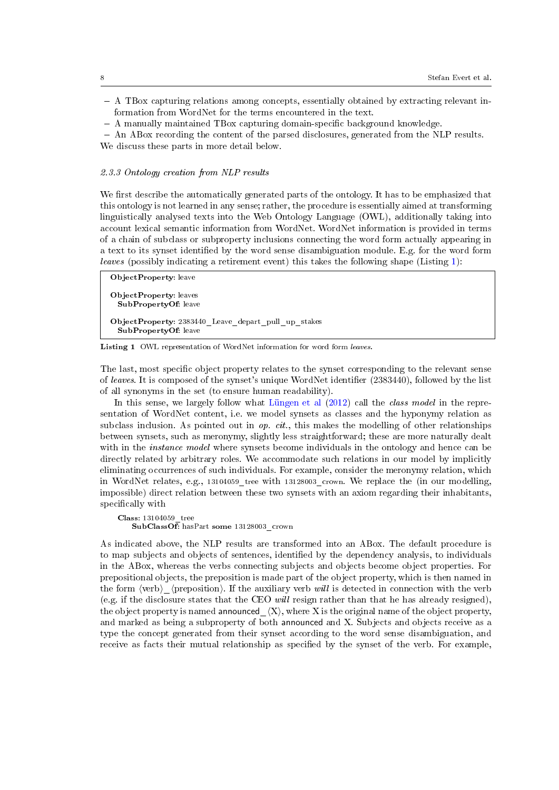- A TBox capturing relations among concepts, essentially obtained by extracting relevant information from WordNet for the terms encountered in the text.
- $-$  A manually maintained TBox capturing domain-specific background knowledge.

 An ABox recording the content of the parsed disclosures, generated from the NLP results. We discuss these parts in more detail below.

#### 2.3.3 Ontology creation from NLP results

We first describe the automatically generated parts of the ontology. It has to be emphasized that this ontology is not learned in any sense; rather, the procedure is essentially aimed at transforming linguistically analysed texts into the Web Ontology Language (OWL), additionally taking into account lexical semantic information from WordNet. WordNet information is provided in terms of a chain of subclass or subproperty inclusions connecting the word form actually appearing in a text to its synset identified by the word sense disambiguation module. E.g. for the word form leaves (possibly indicating a retirement event) this takes the following shape (Listing [1\)](#page-7-0):

<span id="page-7-0"></span>ObjectProperty: leave ObjectProperty: leaves SubPropertyOf: leave ObjectProperty: 2383440\_Leave\_depart\_pull\_up\_stakes SubPropertyOf: leave

Listing 1 OWL representation of WordNet information for word form leaves.

The last, most specific object property relates to the synset corresponding to the relevant sense of leaves. It is composed of the synset's unique WordNet identifier (2383440), followed by the list of all synonyms in the set (to ensure human readability).

In this sense, we largely follow what [Lüngen et al](#page-17-14)  $(2012)$  call the *class model* in the representation of WordNet content, i.e. we model synsets as classes and the hyponymy relation as subclass inclusion. As pointed out in  $op. cit.$ , this makes the modelling of other relationships between synsets, such as meronymy, slightly less straightforward; these are more naturally dealt with in the *instance model* where synsets become individuals in the ontology and hence can be directly related by arbitrary roles. We accommodate such relations in our model by implicitly eliminating occurrences of such individuals. For example, consider the meronymy relation, which in WordNet relates, e.g., 13104059 tree with 13128003 crown. We replace the (in our modelling, impossible) direct relation between these two synsets with an axiom regarding their inhabitants, specifically with

Class: 13104059\_tree SubClassOf: hasPart some  $13128003$  crown

As indicated above, the NLP results are transformed into an ABox. The default procedure is to map subjects and objects of sentences, identied by the dependency analysis, to individuals in the ABox, whereas the verbs connecting subjects and objects become object properties. For prepositional objects, the preposition is made part of the object property, which is then named in the form  $\langle v$ erb $\rangle$   $\langle v$  preposition). If the auxiliary verb will is detected in connection with the verb (e.g. if the disclosure states that the CEO will resign rather than that he has already resigned), the object property is named announced  $\langle X \rangle$ , where X is the original name of the object property, and marked as being a subproperty of both announced and X. Subjects and objects receive as a type the concept generated from their synset according to the word sense disambiguation, and receive as facts their mutual relationship as specified by the synset of the verb. For example,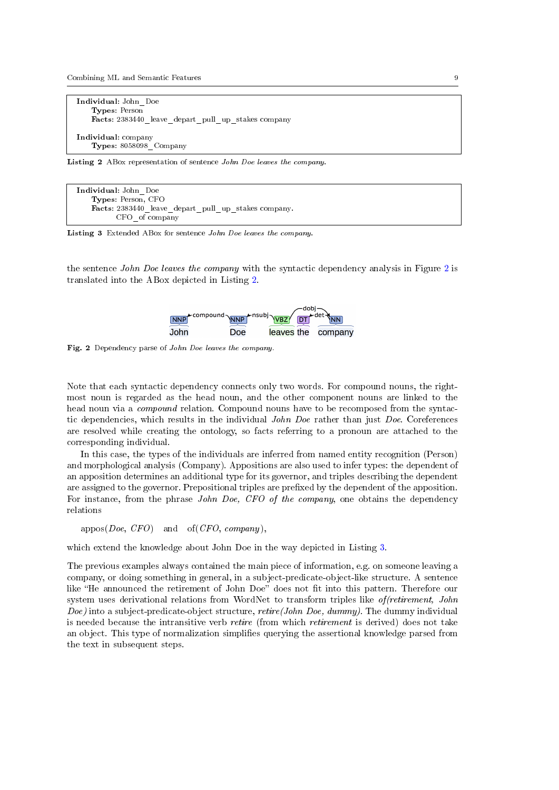Combining ML and Semantic Features 9

```
Individual: John_Doe
   Types: Person
   Facts: 2383440 leave depart pull up stakes company
Individual: company
   Types: 8058098_Company
```
Listing 2 ABox representation of sentence John Doe leaves the company

```
Individual: John_Doe
    Types: Person, CFO
    Facts: 2383440_leave_depart_pull_up_stakes company.
          CFO_of company
```
Listing 3 Extended ABox for sentence John Doe leaves the company.

the sentence John Doe leaves the company with the syntactic dependency analysis in Figure [2](#page-8-0) is translated into the ABox depicted in Listing [2.](#page-8-1)



<span id="page-8-0"></span>Fig. 2 Dependency parse of John Doe leaves the company.

Note that each syntactic dependency connects only two words. For compound nouns, the rightmost noun is regarded as the head noun, and the other component nouns are linked to the head noun via a *compound* relation. Compound nouns have to be recomposed from the syntactic dependencies, which results in the individual John Doe rather than just Doe. Coreferences are resolved while creating the ontology, so facts referring to a pronoun are attached to the corresponding individual.

In this case, the types of the individuals are inferred from named entity recognition (Person) and morphological analysis (Company). Appositions are also used to infer types: the dependent of an apposition determines an additional type for its governor, and triples describing the dependent are assigned to the governor. Prepositional triples are prefixed by the dependent of the apposition. For instance, from the phrase John Doe, CFO of the company, one obtains the dependency relations

 $appos(Doe, CFO)$  and  $of(CFO, company),$ 

which extend the knowledge about John Doe in the way depicted in Listing [3.](#page-8-2)

The previous examples always contained the main piece of information, e.g. on someone leaving a company, or doing something in general, in a subject-predicate-object-like structure. A sentence like "He announced the retirement of John Doe" does not fit into this pattern. Therefore our system uses derivational relations from WordNet to transform triples like *of (retirement, John*) *Doe*) into a subject-predicate-object structure, *retire*(*John Doe, dummy*). The dummy individual is needed because the intransitive verb retire (from which retirement is derived) does not take an object. This type of normalization simplies querying the assertional knowledge parsed from the text in subsequent steps.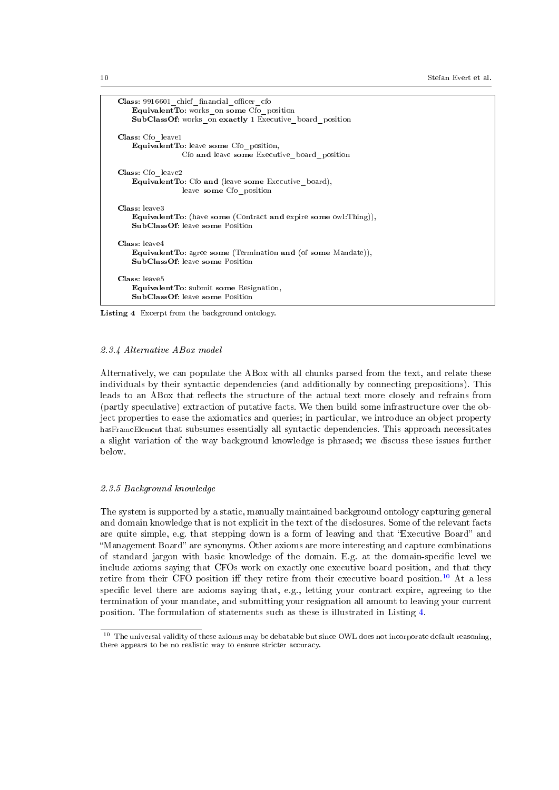10 Stefan Evert et al.

```
Class: 9916601_chief_financial_officer_cfo
   EquivalentTo: works on some Cf_0 position
   SubClassOf: works on exactly 1 Executive board position
Class: Cfo_leave1
   EquivalentTo: leave some Cfo_position,
                Cfo and leave some Executive board position
Class: Cfo_leave2
   EquivalentTo: Cfo and (leave some Executive_board),
                leave some Cfo_position
Class: leave3
   EquivalentTo: (have some (Contract and expire some owl:Thing)),
   SubClassOf: leave some Position
Class: leave4
   EquivalentTo: agree some (Termination and (of some Mandate)),
   SubClassOf: leave some Position
Class: leave5
   EquivalentTo: submit some Resignation,
   SubClassOf: leave some Position
```
Listing 4 Excerpt from the background ontology.

# 2.3.4 Alternative ABox model

Alternatively, we can populate the ABox with all chunks parsed from the text, and relate these individuals by their syntactic dependencies (and additionally by connecting prepositions). This leads to an ABox that reflects the structure of the actual text more closely and refrains from (partly speculative) extraction of putative facts. We then build some infrastructure over the object properties to ease the axiomatics and queries; in particular, we introduce an object property hasFrameElement that subsumes essentially all syntactic dependencies. This approach necessitates a slight variation of the way background knowledge is phrased; we discuss these issues further below.

# 2.3.5 Background knowledge

The system is supported by a static, manually maintained background ontology capturing general and domain knowledge that is not explicit in the text of the disclosures. Some of the relevant facts are quite simple, e.g. that stepping down is a form of leaving and that "Executive Board" and "Management Board" are synonyms. Other axioms are more interesting and capture combinations of standard jargon with basic knowledge of the domain. E.g. at the domain-specific level we include axioms saying that CFOs work on exactly one executive board position, and that they retire from their CFO position iff they retire from their executive board position.<sup>[10](#page-9-0)</sup> At a less specific level there are axioms saying that, e.g., letting your contract expire, agreeing to the termination of your mandate, and submitting your resignation all amount to leaving your current position. The formulation of statements such as these is illustrated in Listing [4.](#page-9-1)

<span id="page-9-0"></span> $^{10}\,$  The universal validity of these axioms may be debatable but since OWL does not incorporate default reasoning, there appears to be no realistic way to ensure stricter accuracy.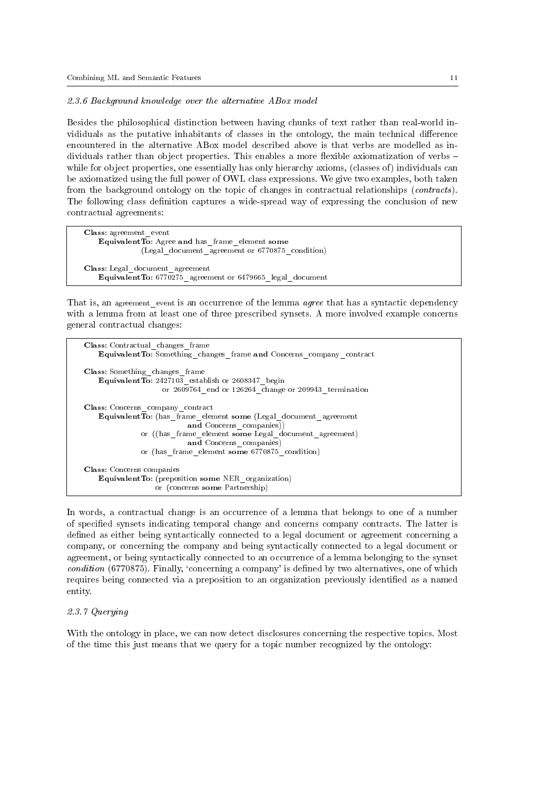#### 2.3.6 Background knowledge over the alternative ABox model

Besides the philosophical distinction between having chunks of text rather than real-world invididuals as the putative inhabitants of classes in the ontology, the main technical difference encountered in the alternative ABox model described above is that verbs are modelled as individuals rather than object properties. This enables a more flexible axiomatization of verbs  $$ while for object properties, one essentially has only hierarchy axioms, (classes of) individuals can be axiomatized using the full power of OWL class expressions. We give two examples, both taken from the background ontology on the topic of changes in contractual relationships (contracts). The following class definition captures a wide-spread way of expressing the conclusion of new contractual agreements:

<span id="page-10-0"></span>Class: agreement\_event Equivalent To: Agree and has frame element some (Legal\_document\_agreement or 6770875\_condition) Class: Legal\_document\_agreement EquivalentTo: 6770275\_agreement or 6479665\_legal\_document

That is, an agreement event is an occurrence of the lemma *agree* that has a syntactic dependency with a lemma from at least one of three prescribed synsets. A more involved example concerns general contractual changes:

```
Class: Contractual_changes_frame
   EquivalentTo: Something_changes_frame and Concerns_company_contract
Class: Something_changes_frame
   EquivalentTo: 2427103_establish or 2608347_begin
                   or 260\overline{9}764 end or 126264 change or 209943 termination
Class: Concerns_company_contract
   Equivalent To: (has frame element some (Legal document agreement
                          and Concerns companies))
              or ((has_frame_element some Legal_document_agreement)
                          and Concerns_companies)
              or (has_frame_element some 6770875_condition)
Class: Concerns companies
   EquivalentTo: (preposition some NER_organization)
                  or (concerns some Partnership)
```
In words, a contractual change is an occurrence of a lemma that belongs to one of a number of specified synsets indicating temporal change and concerns company contracts. The latter is defined as either being syntactically connected to a legal document or agreement concerning a company, or concerning the company and being syntactically connected to a legal document or agreement, or being syntactically connected to an occurrence of a lemma belonging to the synset condition (6770875). Finally, 'concerning a company' is defined by two alternatives, one of which requires being connected via a preposition to an organization previously identified as a named entity.

## 2.3.7 Querying

With the ontology in place, we can now detect disclosures concerning the respective topics. Most of the time this just means that we query for a topic number recognized by the ontology: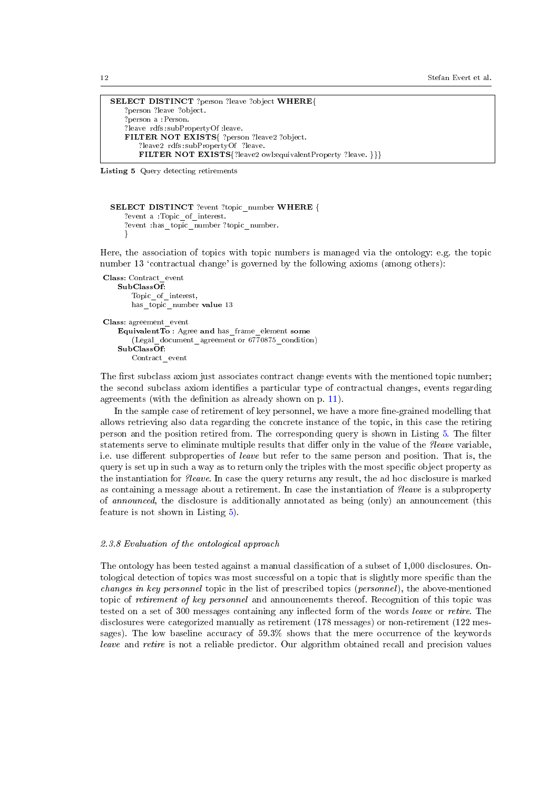```
SELECT DISTINCT ?person ?leave ?object WHERE{
   ?person ?leave ?object.
   ?person a :Person.
   ?leave rdfs :subPropertyOf :leave.
   FILTER NOT EXISTS{ ?person ?leave2 ?object.
       ?leave2 rdfs :subPropertyOf ?leave.
       FILTER NOT EXISTS{?leave2 owl:equivalentProperty ?leave. }}}
```
Listing 5 Query detecting retirements

```
SELECT DISTINCT ?event ?topic_number WHERE {
   ?event a :Topic_of_interest.
   ?event : has_topic_number ?topic_number.
   }
```
Here, the association of topics with topic numbers is managed via the ontology: e.g. the topic number 13 'contractual change' is governed by the following axioms (among others):

Class: Contract\_event SubClassOf: Topic of interest, has topic number value 13 Class: agreement\_event EquivalentTo : Agree and has\_frame\_element some (Legal document agreement or  $6770875$  condition)  $SubClass\overline{O}f$ : Contract\_event

The first subclass axiom just associates contract change events with the mentioned topic number; the second subclass axiom identifies a particular type of contractual changes, events regarding agreements (with the definition as already shown on p. [11\)](#page-10-0).

In the sample case of retirement of key personnel, we have a more fine-grained modelling that allows retrieving also data regarding the concrete instance of the topic, in this case the retiring person and the position retired from. The corresponding query is shown in Listing [5.](#page-11-0) The lter statements serve to eliminate multiple results that differ only in the value of the *?leave* variable, i.e. use different subproperties of leave but refer to the same person and position. That is, the query is set up in such a way as to return only the triples with the most specific object property as the instantiation for ?leave. In case the query returns any result, the ad hoc disclosure is marked as containing a message about a retirement. In case the instantiation of ?leave is a subproperty of announced, the disclosure is additionally annotated as being (only) an announcement (this feature is not shown in Listing [5\)](#page-11-0).

# 2.3.8 Evaluation of the ontological approach

The ontology has been tested against a manual classification of a subset of 1,000 disclosures. Ontological detection of topics was most successful on a topic that is slightly more specific than the changes in key personnel topic in the list of prescribed topics (personnel), the above-mentioned topic of retirement of key personnel and announcenemts thereof. Recognition of this topic was tested on a set of 300 messages containing any inflected form of the words leave or retire. The disclosures were categorized manually as retirement (178 messages) or non-retirement (122 messages). The low baseline accuracy of 59.3% shows that the mere occurrence of the keywords leave and retire is not a reliable predictor. Our algorithm obtained recall and precision values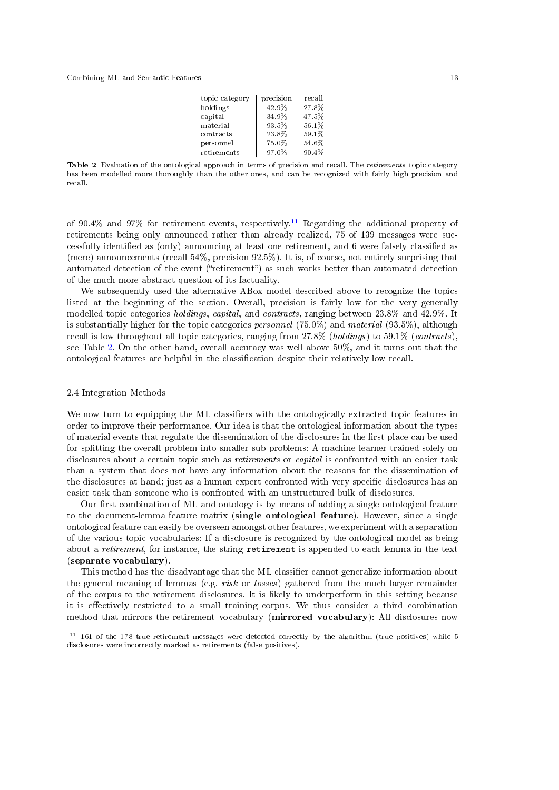| topic category | precision | recall |
|----------------|-----------|--------|
| holdings       | 42.9%     | 27.8%  |
| capital        | 34.9%     | 47.5%  |
| material       | 93.5%     | 56.1%  |
| contracts      | 23.8%     | 59.1%  |
| personnel      | 75.0%     | 54.6%  |
| retirements    | 97.0%     | 90.4%  |

<span id="page-12-2"></span>Table 2 Evaluation of the ontological approach in terms of precision and recall. The retirements topic category has been modelled more thoroughly than the other ones, and can be recognized with fairly high precision and recall.

of 90.4% and 97% for retirement events, respectively.<sup>[11](#page-12-1)</sup> Regarding the additional property of retirements being only announced rather than already realized, 75 of 139 messages were successfully identified as (only) announcing at least one retirement, and 6 were falsely classified as (mere) announcements (recall  $54\%$ , precision  $92.5\%$ ). It is, of course, not entirely surprising that automated detection of the event ("retirement") as such works better than automated detection of the much more abstract question of its factuality.

We subsequently used the alternative ABox model described above to recognize the topics listed at the beginning of the section. Overall, precision is fairly low for the very generally modelled topic categories holdings, capital, and contracts, ranging between 23.8% and 42.9%. It is substantially higher for the topic categories *personnel*  $(75.0\%)$  and material  $(93.5\%)$ , although recall is low throughout all topic categories, ranging from 27.8% (holdings) to 59.1% (contracts), see Table [2.](#page-12-2) On the other hand, overall accuracy was well above 50%, and it turns out that the ontological features are helpful in the classication despite their relatively low recall.

## <span id="page-12-0"></span>2.4 Integration Methods

We now turn to equipping the ML classifiers with the ontologically extracted topic features in order to improve their performance. Our idea is that the ontological information about the types of material events that regulate the dissemination of the disclosures in the first place can be used for splitting the overall problem into smaller sub-problems: A machine learner trained solely on disclosures about a certain topic such as *retirements* or *capital* is confronted with an easier task than a system that does not have any information about the reasons for the dissemination of the disclosures at hand; just as a human expert confronted with very specific disclosures has an easier task than someone who is confronted with an unstructured bulk of disclosures.

Our first combination of ML and ontology is by means of adding a single ontological feature to the document-lemma feature matrix (single ontological feature). However, since a single ontological feature can easily be overseen amongst other features, we experiment with a separation of the various topic vocabularies: If a disclosure is recognized by the ontological model as being about a retirement, for instance, the string retirement is appended to each lemma in the text (separate vocabulary).

This method has the disadvantage that the ML classifier cannot generalize information about the general meaning of lemmas (e.g. risk or losses) gathered from the much larger remainder of the corpus to the retirement disclosures. It is likely to underperform in this setting because it is effectively restricted to a small training corpus. We thus consider a third combination method that mirrors the retirement vocabulary (mirrored vocabulary): All disclosures now

<span id="page-12-1"></span><sup>&</sup>lt;sup>11</sup> 161 of the 178 true retirement messages were detected correctly by the algorithm (true positives) while 5 disclosures were incorrectly marked as retirements (false positives).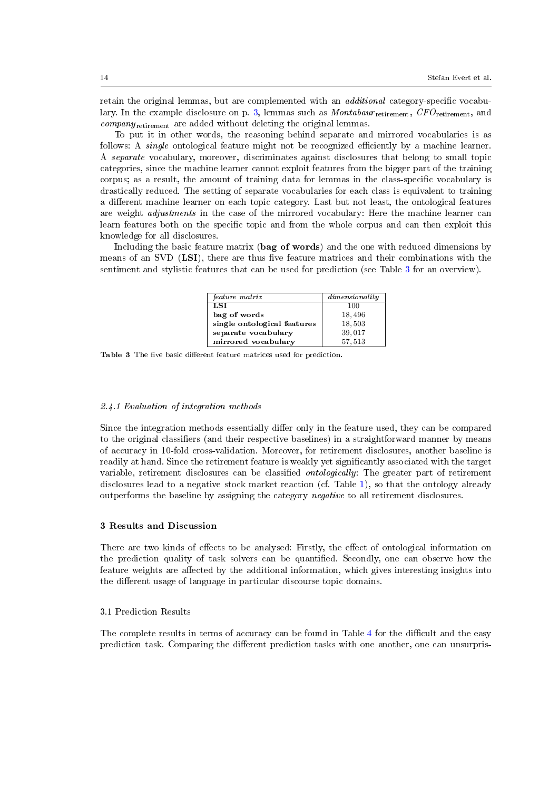retain the original lemmas, but are complemented with an *additional* category-specific vocabu-lary. In the example disclosure on p. [3,](#page-2-4) lemmas such as  $Montabaur_{retirement}$ ,  $CFO_{retirement}$ , and company<sub>retirement</sub> are added without deleting the original lemmas.

To put it in other words, the reasoning behind separate and mirrored vocabularies is as follows: A *single* ontological feature might not be recognized efficiently by a machine learner. A separate vocabulary, moreover, discriminates against disclosures that belong to small topic categories, since the machine learner cannot exploit features from the bigger part of the training corpus; as a result, the amount of training data for lemmas in the class-specific vocabulary is drastically reduced. The setting of separate vocabularies for each class is equivalent to training a different machine learner on each topic category. Last but not least, the ontological features are weight adjustments in the case of the mirrored vocabulary: Here the machine learner can learn features both on the specific topic and from the whole corpus and can then exploit this knowledge for all disclosures.

Including the basic feature matrix (bag of words) and the one with reduced dimensions by means of an SVD  $(LSI)$ , there are thus five feature matrices and their combinations with the sentiment and stylistic features that can be used for prediction (see Table [3](#page-13-0) for an overview).

| feature matrix              | dimensionality |
|-----------------------------|----------------|
| LSI <sub>I</sub>            | 100            |
| bag of words                | 18,496         |
| single ontological features | 18,503         |
| separate vocabulary         | 39,017         |
| mirrored vocabulary         | 57, 513        |

<span id="page-13-0"></span>Table 3 The five basic different feature matrices used for prediction.

# 2.4.1 Evaluation of integration methods

Since the integration methods essentially differ only in the feature used, they can be compared to the original classifiers (and their respective baselines) in a straightforward manner by means of accuracy in 10-fold cross-validation. Moreover, for retirement disclosures, another baseline is readily at hand. Since the retirement feature is weakly yet signicantly associated with the target variable, retirement disclosures can be classified *ontologically*: The greater part of retirement disclosures lead to a negative stock market reaction (cf. Table [1\)](#page-4-0), so that the ontology already outperforms the baseline by assigning the category negative to all retirement disclosures.

#### 3 Results and Discussion

There are two kinds of effects to be analysed: Firstly, the effect of ontological information on the prediction quality of task solvers can be quantified. Secondly, one can observe how the feature weights are affected by the additional information, which gives interesting insights into the different usage of language in particular discourse topic domains.

# 3.1 Prediction Results

The complete results in terms of accuracy can be found in Table [4](#page-14-0) for the difficult and the easy prediction task. Comparing the different prediction tasks with one another, one can unsurpris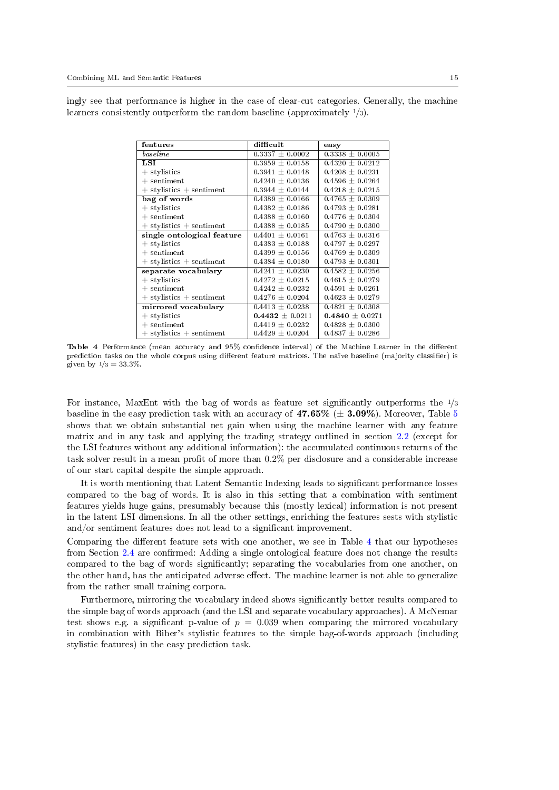ingly see that performance is higher in the case of clear-cut categories. Generally, the machine learners consistently outperform the random baseline (approximately <sup>1</sup>/3).

| features                     | difficult           | easy                |  |
|------------------------------|---------------------|---------------------|--|
| baseline                     | $0.3337 + 0.0002$   | $0.3338 + 0.0005$   |  |
| LSI                          | $0.3959 \pm 0.0158$ | $0.4320 \pm 0.0212$ |  |
| + stylistics                 | $0.3941 \pm 0.0148$ | $0.4208 \pm 0.0231$ |  |
| $+$ sentiment                | $0.4240 \pm 0.0136$ | $0.4596 + 0.0264$   |  |
| $+$ stylistics $+$ sentiment | $0.3944 \pm 0.0144$ | $0.4218 \pm 0.0215$ |  |
| bag of words                 | $0.4389 \pm 0.0166$ | $0.4765 + 0.0309$   |  |
| $+$ stylistics               | $0.4382 \pm 0.0186$ | $0.4793 \pm 0.0281$ |  |
| $+$ sentiment                | $0.4388 \pm 0.0160$ | $0.4776 \pm 0.0304$ |  |
| $+$ stylistics $+$ sentiment | $0.4388 \pm 0.0185$ | $0.4790 \pm 0.0300$ |  |
| single ontological feature   | $0.4401 \pm 0.0161$ | $0.4763 \pm 0.0316$ |  |
| $+$ stylistics               | $0.4383 \pm 0.0188$ | $0.4797 \pm 0.0297$ |  |
| $+$ sentiment                | $0.4399 \pm 0.0156$ | $0.4769 \pm 0.0309$ |  |
| $stylistics + sentiment$     | $0.4384 \pm 0.0180$ | $0.4793 \pm 0.0301$ |  |
| separate vocabulary          | $0.4241 + 0.0230$   | $0.4582 + 0.0256$   |  |
| $+$ stylistics               | $0.4272 + 0.0215$   | $0.4615 + 0.0279$   |  |
| $+$ sentiment                | $0.4242 \pm 0.0232$ | $0.4591 \pm 0.0261$ |  |
| $+$ stylistics $+$ sentiment | $0.4276 \pm 0.0204$ | $0.4623 \pm 0.0279$ |  |
| mirrored vocabulary          | $0.4413 \pm 0.0238$ | $0.4821 \pm 0.0308$ |  |
| $+$ stylistics               | $0.4432 \pm 0.0211$ | $0.4840 \pm 0.0271$ |  |
| $+$ sentiment                | $0.4419 \pm 0.0232$ | $0.4828 \pm 0.0300$ |  |
| $+$ stylistics $+$ sentiment | $0.4429 \pm 0.0204$ | $0.4837 \pm 0.0286$ |  |

<span id="page-14-0"></span>Table 4 Performance (mean accuracy and 95% confidence interval) of the Machine Learner in the different prediction tasks on the whole corpus using different feature matrices. The naïve baseline (majority classifier) is given by  $1/3 = 33.3\%$ .

For instance, MaxEnt with the bag of words as feature set significantly outperforms the  $\frac{1}{3}$ baseline in the easy prediction task with an accuracy of  $47.65\%$  $47.65\%$  $47.65\%$  ( $\pm$  3.09%). Moreover, Table 5 shows that we obtain substantial net gain when using the machine learner with any feature matrix and in any task and applying the trading strategy outlined in section [2.2](#page-3-0) (except for the LSI features without any additional information): the accumulated continuous returns of the task solver result in a mean profit of more than  $0.2\%$  per disclosure and a considerable increase of our start capital despite the simple approach.

It is worth mentioning that Latent Semantic Indexing leads to signicant performance losses compared to the bag of words. It is also in this setting that a combination with sentiment features yields huge gains, presumably because this (mostly lexical) information is not present in the latent LSI dimensions. In all the other settings, enriching the features sests with stylistic and/or sentiment features does not lead to a significant improvement.

Comparing the different feature sets with one another, we see in Table [4](#page-14-0) that our hypotheses from Section [2.4](#page-12-0) are confirmed: Adding a single ontological feature does not change the results compared to the bag of words signicantly; separating the vocabularies from one another, on the other hand, has the anticipated adverse effect. The machine learner is not able to generalize from the rather small training corpora.

Furthermore, mirroring the vocabulary indeed shows signicantly better results compared to the simple bag of words approach (and the LSI and separate vocabulary approaches). A McNemar test shows e.g. a significant p-value of  $p = 0.039$  when comparing the mirrored vocabulary in combination with Biber's stylistic features to the simple bag-of-words approach (including stylistic features) in the easy prediction task.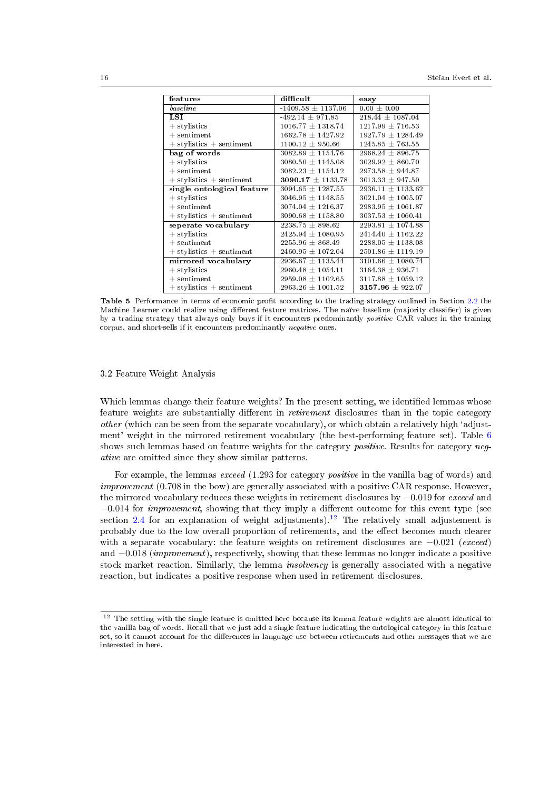| features                     | difficult             | easy                  |  |
|------------------------------|-----------------------|-----------------------|--|
| baseline                     | $-1409.58 + 1137.06$  | $0.00 + 0.00$         |  |
| LSI                          | $-492.14 + 971.85$    | $218.44 + 1087.04$    |  |
| $+$ stylistics               | $1016.77 \pm 1318.74$ | $1217.99 \pm 716.53$  |  |
| $+$ sentiment                | $1662.78 \pm 1427.92$ | $1927.79 + 1284.49$   |  |
| $+$ stylistics $+$ sentiment | $1100.12 \pm 950.66$  | $1245.85 \pm 763.55$  |  |
| bag of words                 | $3082.89 \pm 1154.76$ | $2968.24 \pm 896.75$  |  |
| $+$ stylistics               | $3080.50 \pm 1145.08$ | $3029.92 + 860.70$    |  |
| $+$ sentiment                | $3082.23 \pm 1154.12$ | $2973.58 \pm 944.87$  |  |
| $+$ stylistics $+$ sentiment | 3090.17 $\pm$ 1133.78 | $3013.33 \pm 947.50$  |  |
| single ontological feature   | $3094.65 + 1287.55$   | $2936.11 \pm 1133.62$ |  |
| $+$ stylistics               | $3046.95 \pm 1148.55$ | $3021.04 \pm 1005.07$ |  |
| $+$ sentiment                | $3074.04 \pm 1216.37$ | $2983.95 \pm 1061.87$ |  |
| $+$ stylistics $+$ sentiment | $3090.68 \pm 1158.80$ | $3037.53 \pm 1060.41$ |  |
| seperate vocabulary          | $2238.75 + 898.62$    | $2293.81 + 1074.88$   |  |
| $+$ stylistics               | $2425.94 \pm 1080.95$ | $2414.40 \pm 1162.22$ |  |
| $+$ sentiment                | $2255.96 \pm 868.49$  | $2288.05 \pm 1138.08$ |  |
| $+$ stylistics $+$ sentiment | $2460.95 \pm 1072.04$ | $2501.86 \pm 1119.19$ |  |
| mirrored vocabulary          | $2936.67 \pm 1135.44$ | $3101.66 \pm 1080.74$ |  |
| $+$ stylistics               | $2960.48 \pm 1054.11$ | $3164.38 \pm 936.71$  |  |
| $+$ sentiment                | $2959.08 + 1102.65$   | $3117.88 \pm 1059.12$ |  |
| $+$ stylistics $+$ sentiment | $2963.26 \pm 1001.52$ | $3157.96 \pm 922.07$  |  |

<span id="page-15-0"></span>Table 5 Performance in terms of economic profit according to the trading strategy outlined in Section [2.2](#page-3-0) the Machine Learner could realize using different feature matrices. The naïve baseline (majority classifier) is given by a trading strategy that always only buys if it encounters predominantly *positive* CAR values in the training corpus, and short-sells if it encounters predominantly negative ones.

# 3.2 Feature Weight Analysis

Which lemmas change their feature weights? In the present setting, we identified lemmas whose feature weights are substantially different in *retirement* disclosures than in the topic category *other* (which can be seen from the separate vocabulary), or which obtain a relatively high 'adjustment' weight in the mirrored retirement vocabulary (the best-performing feature set). Table [6](#page-16-7) shows such lemmas based on feature weights for the category *positive*. Results for category *neg*ative are omitted since they show similar patterns.

For example, the lemmas exceed  $(1.293$  for category *positive* in the vanilla bag of words) and improvement (0.708 in the bow) are generally associated with a positive CAR response. However, the mirrored vocabulary reduces these weights in retirement disclosures by −0.019 for exceed and  $-0.014$  for *improvement*, showing that they imply a different outcome for this event type (see section [2.4](#page-12-0) for an explanation of weight adjustments).<sup>[12](#page-15-1)</sup> The relatively small adjustement is probably due to the low overall proportion of retirements, and the effect becomes much clearer with a separate vocabulary: the feature weights on retirement disclosures are  $-0.021$  (exceed) and  $-0.018$  (*improvement*), respectively, showing that these lemmas no longer indicate a positive stock market reaction. Similarly, the lemma *insolvency* is generally associated with a negative reaction, but indicates a positive response when used in retirement disclosures.

<span id="page-15-1"></span> $12$  The setting with the single feature is omitted here because its lemma feature weights are almost identical to the vanilla bag of words. Recall that we just add a single feature indicating the ontological category in this feature set, so it cannot account for the differences in language use between retirements and other messages that we are interested in here.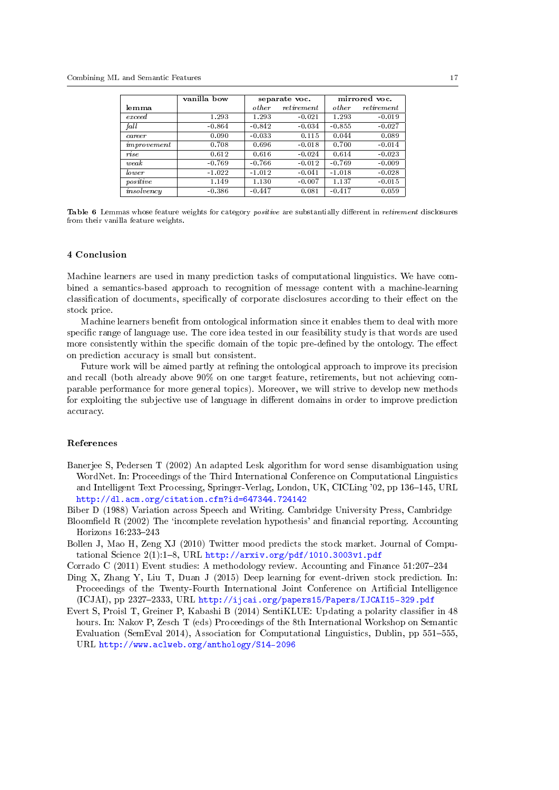|             | vanilla bow | separate voc. |            | mirrored voc. |          |
|-------------|-------------|---------------|------------|---------------|----------|
| lemma       |             | other         | retirement | other         | $re^$    |
| exceed      | 1.293       | 1.293         | $-0.021$   | 1.293         | $-0.019$ |
| fall        | $-0.864$    | $-0.842$      | $-0.034$   | $-0.855$      | $-0.027$ |
| career      | 0.090       | $-0.033$      | 0.115      | 0.044         | 0.089    |
| improvement | 0.708       | 0.696         | $-0.018$   | 0.700         | $-0.014$ |
| rise        | 0.612       | 0.616         | $-0.024$   | 0.614         | $-0.023$ |
| weak        | $-0.769$    | $-0.766$      | $-0.012$   | $-0.769$      | $-0.009$ |
| lower       | $-1.022$    | $-1.012$      | $-0.041$   | $-1.018$      | $-0.028$ |
| positive    | 1.149       | 1.130         | $-0.007$   | 1.137         | $-0.015$ |
| insolvency  | $-0.386$    | $-0.447$      | 0.081      | $-0.417$      | 0.059    |

<span id="page-16-7"></span>Table 6 Lemmas whose feature weights for category positive are substantially different in retirement disclosures from their vanilla feature weights.

### 4 Conclusion

Machine learners are used in many prediction tasks of computational linguistics. We have combined a semantics-based approach to recognition of message content with a machine-learning classification of documents, specifically of corporate disclosures according to their effect on the stock price.

Machine learners benefit from ontological information since it enables them to deal with more specific range of language use. The core idea tested in our feasibility study is that words are used more consistently within the specific domain of the topic pre-defined by the ontology. The effect on prediction accuracy is small but consistent.

Future work will be aimed partly at refining the ontological approach to improve its precision and recall (both already above 90% on one target feature, retirements, but not achieving comparable performance for more general topics). Moreover, we will strive to develop new methods for exploiting the subjective use of language in different domains in order to improve prediction accuracy.

## References

<span id="page-16-6"></span>Banerjee S, Pedersen T (2002) An adapted Lesk algorithm for word sense disambiguation using WordNet. In: Proceedings of the Third International Conference on Computational Linguistics and Intelligent Text Processing, Springer-Verlag, London, UK, CICLing '02, pp 136–145, URL <http://dl.acm.org/citation.cfm?id=647344.724142>

<span id="page-16-5"></span>Biber D (1988) Variation across Speech and Writing. Cambridge University Press, Cambridge

- <span id="page-16-0"></span>Bloomfield R (2002) The 'incomplete revelation hypothesis' and financial reporting. Accounting Horizons  $16:233-243$
- <span id="page-16-1"></span>Bollen J, Mao H, Zeng XJ (2010) Twitter mood predicts the stock market. Journal of Computational Science  $2(1)$ :1-8, URL <http://arxiv.org/pdf/1010.3003v1.pdf>
- <span id="page-16-3"></span>Corrado C (2011) Event studies: A methodology review. Accounting and Finance  $51:207-234$
- <span id="page-16-2"></span>Ding X, Zhang Y, Liu T, Duan J (2015) Deep learning for event-driven stock prediction. In: Proceedings of the Twenty-Fourth International Joint Conference on Artificial Intelligence (ICJAI), pp 2327-2333, URL <http://ijcai.org/papers15/Papers/IJCAI15-329.pdf>
- <span id="page-16-4"></span>Evert S, Proisl T, Greiner P, Kabashi B (2014) SentiKLUE: Updating a polarity classifier in 48 hours. In: Nakov P, Zesch T (eds) Proceedings of the 8th International Workshop on Semantic Evaluation (SemEval 2014), Association for Computational Linguistics, Dublin, pp  $551-555$ , URL <http://www.aclweb.org/anthology/S14-2096>